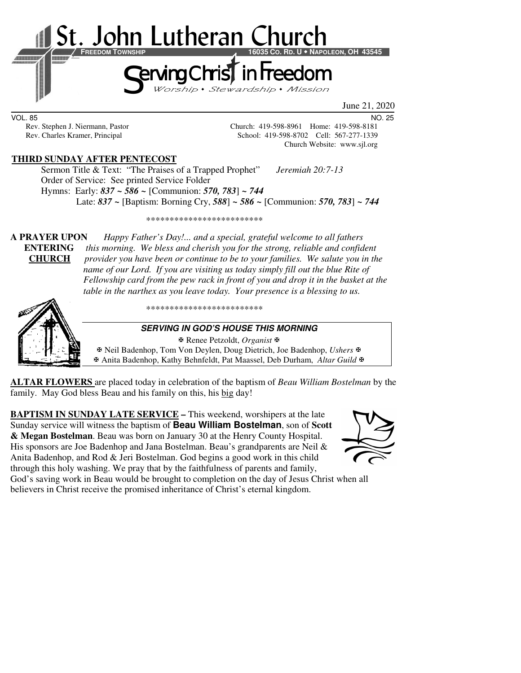

June 21, 2020

VOL. 85 NO. 25

Rev. Stephen J. Niermann, Pastor Church: 419-598-8961 Home: 419-598-8181 Rev. Charles Kramer, Principal School: 419-598-8702 Cell: 567-277-1339 Church Website: www.sjl.org

## **THIRD SUNDAY AFTER PENTECOST**

 Sermon Title & Text: "The Praises of a Trapped Prophet" *Jeremiah 20:7-13* Order of Service: See printed Service Folder Hymns: Early: *837 ~ 586 ~* [Communion: *570, 783*] *~ 744* Late: *837 ~* [Baptism: Borning Cry, *588*] *~ 586 ~* [Communion: *570, 783*] *~ 744*

\*\*\*\*\*\*\*\*\*\*\*\*\*\*\*\*\*\*\*\*\*\*\*\*\*

**A PRAYER UPON** *Happy Father's Day!... and a special, grateful welcome to all fathers*  **ENTERING** *this morning. We bless and cherish you for the strong, reliable and confident*  **CHURCH** *provider you have been or continue to be to your families. We salute you in the name of our Lord. If you are visiting us today simply fill out the blue Rite of Fellowship card from the pew rack in front of you and drop it in the basket at the table in the narthex as you leave today. Your presence is a blessing to us.* 



\*\*\*\*\*\*\*\*\*\*\*\*\*\*\*\*\*\*\*\*\*\*\*\*\*

#### **SERVING IN GOD'S HOUSE THIS MORNING**

 Renee Petzoldt, *Organist* Neil Badenhop, Tom Von Deylen, Doug Dietrich, Joe Badenhop, *Ushers* Anita Badenhop, Kathy Behnfeldt, Pat Maassel, Deb Durham, *Altar Guild*

**ALTAR FLOWERS** are placed today in celebration of the baptism of *Beau William Bostelman* by the family. May God bless Beau and his family on this, his big day!

**BAPTISM IN SUNDAY LATE SERVICE –** This weekend, worshipers at the late Sunday service will witness the baptism of **Beau William Bostelman**, son of **Scott & Megan Bostelman**. Beau was born on January 30 at the Henry County Hospital. His sponsors are Joe Badenhop and Jana Bostelman. Beau's grandparents are Neil & Anita Badenhop, and Rod & Jeri Bostelman. God begins a good work in this child through this holy washing. We pray that by the faithfulness of parents and family, God's saving work in Beau would be brought to completion on the day of Jesus Christ when all



believers in Christ receive the promised inheritance of Christ's eternal kingdom.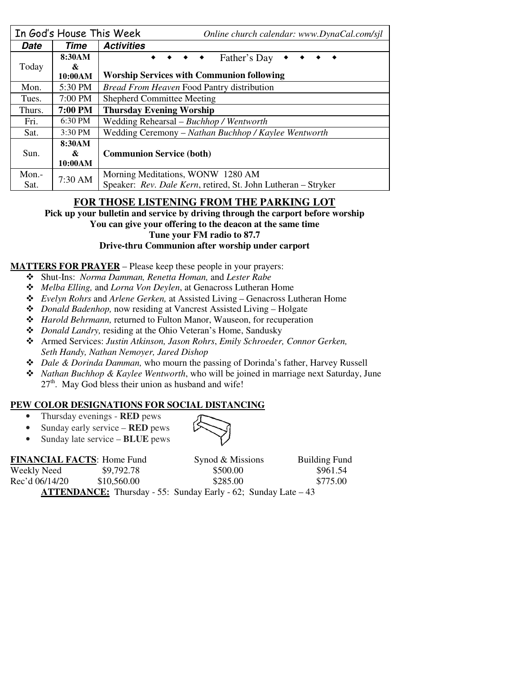|        | In God's House This Week | Online church calendar: www.DynaCal.com/sjl                                                                                        |  |  |
|--------|--------------------------|------------------------------------------------------------------------------------------------------------------------------------|--|--|
| Date   | Time                     | <b>Activities</b>                                                                                                                  |  |  |
| Today  | 8:30AM<br>&              | Father's Day<br>$\begin{array}{ccccccccccccccccc} \bullet & \bullet & \bullet & \bullet & \bullet & \bullet & \bullet \end{array}$ |  |  |
|        | 10:00AM                  | <b>Worship Services with Communion following</b>                                                                                   |  |  |
| Mon.   | 5:30 PM                  | <b>Bread From Heaven Food Pantry distribution</b>                                                                                  |  |  |
| Tues.  | 7:00 PM                  | <b>Shepherd Committee Meeting</b>                                                                                                  |  |  |
| Thurs. | 7:00 PM                  | <b>Thursday Evening Worship</b>                                                                                                    |  |  |
| Fri.   | 6:30 PM                  | Wedding Rehearsal - Buchhop / Wentworth                                                                                            |  |  |
| Sat.   | 3:30 PM                  | Wedding Ceremony – Nathan Buchhop / Kaylee Wentworth                                                                               |  |  |
| Sun.   | 8:30AM                   |                                                                                                                                    |  |  |
|        | &                        | <b>Communion Service (both)</b>                                                                                                    |  |  |
|        | 10:00AM                  |                                                                                                                                    |  |  |
| Mon.-  | 7:30 AM                  | Morning Meditations, WONW 1280 AM                                                                                                  |  |  |
| Sat.   |                          | Speaker: Rev. Dale Kern, retired, St. John Lutheran – Stryker                                                                      |  |  |

# **FOR THOSE LISTENING FROM THE PARKING LOT**

**Pick up your bulletin and service by driving through the carport before worship You can give your offering to the deacon at the same time** 

**Tune your FM radio to 87.7** 

**Drive-thru Communion after worship under carport** 

### **MATTERS FOR PRAYER** – Please keep these people in your prayers:

- Shut-Ins: *Norma Damman, Renetta Homan,* and *Lester Rabe*
- *Melba Elling,* and *Lorna Von Deylen*, at Genacross Lutheran Home
- *Evelyn Rohrs* and *Arlene Gerken,* at Assisted Living Genacross Lutheran Home
- *Donald Badenhop,* now residing at Vancrest Assisted Living Holgate
- *Harold Behrmann,* returned to Fulton Manor, Wauseon, for recuperation
- *Donald Landry,* residing at the Ohio Veteran's Home, Sandusky
- Armed Services: *Justin Atkinson, Jason Rohrs*, *Emily Schroeder, Connor Gerken, Seth Handy, Nathan Nemoyer, Jared Dishop*
- *Dale & Dorinda Damman,* who mourn the passing of Dorinda's father, Harvey Russell
- *Nathan Buchhop & Kaylee Wentworth*, who will be joined in marriage next Saturday, June  $27<sup>th</sup>$ . May God bless their union as husband and wife!

## **PEW COLOR DESIGNATIONS FOR SOCIAL DISTANCING**

- Thursday evenings **RED** pews
- Sunday early service **RED** pews
- Sunday late service **BLUE** pews

| <b>FINANCIAL FACTS: Home Fund</b>                                      |             | Synod & Missions | <b>Building Fund</b> |  |  |
|------------------------------------------------------------------------|-------------|------------------|----------------------|--|--|
| Weekly Need                                                            | \$9,792.78  | \$500.00         | \$961.54             |  |  |
| Rec'd 06/14/20                                                         | \$10,560.00 | \$285.00         | \$775.00             |  |  |
| <b>ATTENDANCE:</b> Thursday - 55: Sunday Early - 62; Sunday Late $-43$ |             |                  |                      |  |  |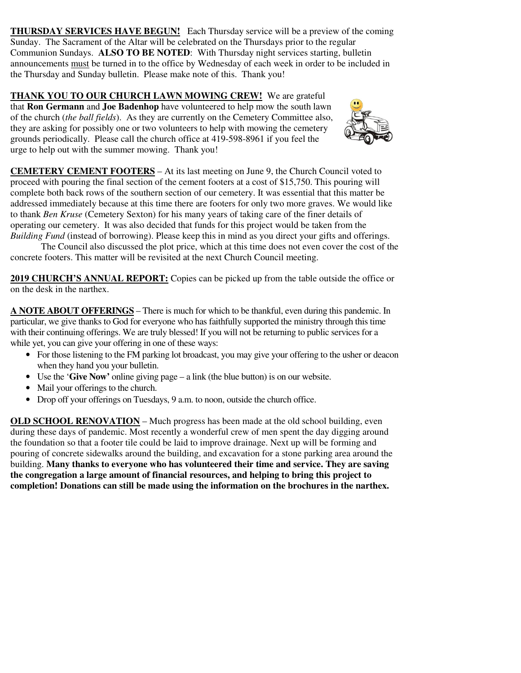**THURSDAY SERVICES HAVE BEGUN!** Each Thursday service will be a preview of the coming Sunday. The Sacrament of the Altar will be celebrated on the Thursdays prior to the regular Communion Sundays. **ALSO TO BE NOTED**: With Thursday night services starting, bulletin announcements must be turned in to the office by Wednesday of each week in order to be included in the Thursday and Sunday bulletin. Please make note of this. Thank you!

**THANK YOU TO OUR CHURCH LAWN MOWING CREW!** We are grateful that **Ron Germann** and **Joe Badenhop** have volunteered to help mow the south lawn of the church (*the ball fields*). As they are currently on the Cemetery Committee also, they are asking for possibly one or two volunteers to help with mowing the cemetery grounds periodically. Please call the church office at 419-598-8961 if you feel the urge to help out with the summer mowing. Thank you!



**CEMETERY CEMENT FOOTERS** – At its last meeting on June 9, the Church Council voted to proceed with pouring the final section of the cement footers at a cost of \$15,750. This pouring will complete both back rows of the southern section of our cemetery. It was essential that this matter be addressed immediately because at this time there are footers for only two more graves. We would like to thank *Ben Kruse* (Cemetery Sexton) for his many years of taking care of the finer details of operating our cemetery. It was also decided that funds for this project would be taken from the *Building Fund* (instead of borrowing). Please keep this in mind as you direct your gifts and offerings.

 The Council also discussed the plot price, which at this time does not even cover the cost of the concrete footers. This matter will be revisited at the next Church Council meeting.

**2019 CHURCH'S ANNUAL REPORT:** Copies can be picked up from the table outside the office or on the desk in the narthex.

**A NOTE ABOUT OFFERINGS** – There is much for which to be thankful, even during this pandemic. In particular, we give thanks to God for everyone who has faithfully supported the ministry through this time with their continuing offerings. We are truly blessed! If you will not be returning to public services for a while yet, you can give your offering in one of these ways:

- For those listening to the FM parking lot broadcast, you may give your offering to the usher or deacon when they hand you your bulletin.
- Use the '**Give Now'** online giving page a link (the blue button) is on our website.
- Mail your offerings to the church.
- Drop off your offerings on Tuesdays, 9 a.m. to noon, outside the church office.

**OLD SCHOOL RENOVATION – Much progress has been made at the old school building, even** during these days of pandemic. Most recently a wonderful crew of men spent the day digging around the foundation so that a footer tile could be laid to improve drainage. Next up will be forming and pouring of concrete sidewalks around the building, and excavation for a stone parking area around the building. **Many thanks to everyone who has volunteered their time and service. They are saving the congregation a large amount of financial resources, and helping to bring this project to completion! Donations can still be made using the information on the brochures in the narthex.**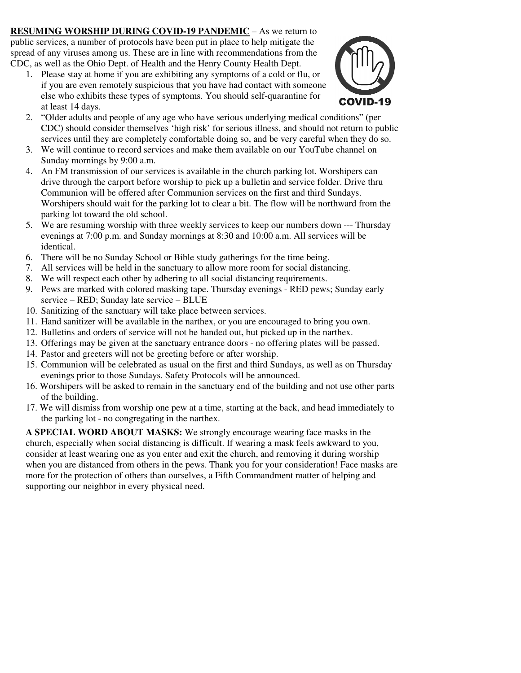**RESUMING WORSHIP DURING COVID-19 PANDEMIC** – As we return to public services, a number of protocols have been put in place to help mitigate the spread of any viruses among us. These are in line with recommendations from the CDC, as well as the Ohio Dept. of Health and the Henry County Health Dept.

1. Please stay at home if you are exhibiting any symptoms of a cold or flu, or if you are even remotely suspicious that you have had contact with someone else who exhibits these types of symptoms. You should self-quarantine for at least 14 days.



- 2. "Older adults and people of any age who have serious underlying medical conditions" (per CDC) should consider themselves 'high risk' for serious illness, and should not return to public services until they are completely comfortable doing so, and be very careful when they do so.
- 3. We will continue to record services and make them available on our YouTube channel on Sunday mornings by 9:00 a.m.
- 4. An FM transmission of our services is available in the church parking lot. Worshipers can drive through the carport before worship to pick up a bulletin and service folder. Drive thru Communion will be offered after Communion services on the first and third Sundays. Worshipers should wait for the parking lot to clear a bit. The flow will be northward from the parking lot toward the old school.
- 5. We are resuming worship with three weekly services to keep our numbers down --- Thursday evenings at 7:00 p.m. and Sunday mornings at 8:30 and 10:00 a.m. All services will be identical.
- 6. There will be no Sunday School or Bible study gatherings for the time being.
- 7. All services will be held in the sanctuary to allow more room for social distancing.
- 8. We will respect each other by adhering to all social distancing requirements.
- 9. Pews are marked with colored masking tape. Thursday evenings RED pews; Sunday early service – RED; Sunday late service – BLUE
- 10. Sanitizing of the sanctuary will take place between services.
- 11. Hand sanitizer will be available in the narthex, or you are encouraged to bring you own.
- 12. Bulletins and orders of service will not be handed out, but picked up in the narthex.
- 13. Offerings may be given at the sanctuary entrance doors no offering plates will be passed.
- 14. Pastor and greeters will not be greeting before or after worship.
- 15. Communion will be celebrated as usual on the first and third Sundays, as well as on Thursday evenings prior to those Sundays. Safety Protocols will be announced.
- 16. Worshipers will be asked to remain in the sanctuary end of the building and not use other parts of the building.
- 17. We will dismiss from worship one pew at a time, starting at the back, and head immediately to the parking lot - no congregating in the narthex.

**A SPECIAL WORD ABOUT MASKS:** We strongly encourage wearing face masks in the church, especially when social distancing is difficult. If wearing a mask feels awkward to you, consider at least wearing one as you enter and exit the church, and removing it during worship when you are distanced from others in the pews. Thank you for your consideration! Face masks are more for the protection of others than ourselves, a Fifth Commandment matter of helping and supporting our neighbor in every physical need.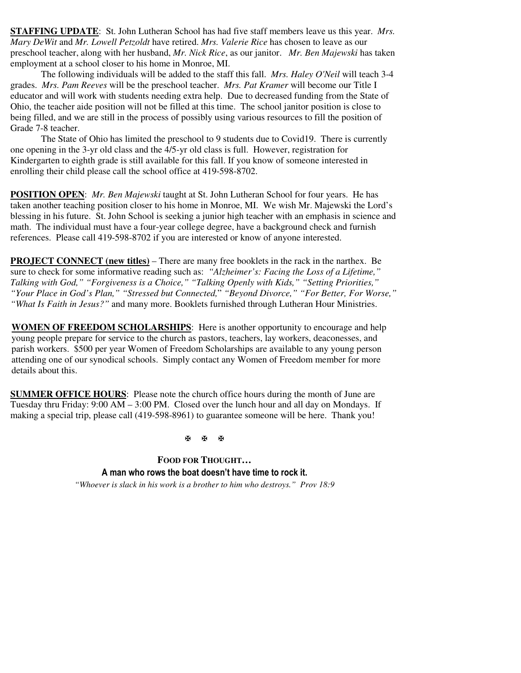**STAFFING UPDATE**: St. John Lutheran School has had five staff members leave us this year. *Mrs. Mary DeWit* and *Mr. Lowell Petzoldt* have retired. *Mrs. Valerie Rice* has chosen to leave as our preschool teacher, along with her husband, *Mr. Nick Rice*, as our janitor. *Mr. Ben Majewski* has taken employment at a school closer to his home in Monroe, MI.

The following individuals will be added to the staff this fall. *Mrs. Haley O'Neil* will teach 3-4 grades. *Mrs. Pam Reeves* will be the preschool teacher. *Mrs. Pat Kramer* will become our Title I educator and will work with students needing extra help. Due to decreased funding from the State of Ohio, the teacher aide position will not be filled at this time. The school janitor position is close to being filled, and we are still in the process of possibly using various resources to fill the position of Grade 7-8 teacher.

The State of Ohio has limited the preschool to 9 students due to Covid19. There is currently one opening in the 3-yr old class and the 4/5-yr old class is full. However, registration for Kindergarten to eighth grade is still available for this fall. If you know of someone interested in enrolling their child please call the school office at 419-598-8702.

**POSITION OPEN**: *Mr. Ben Majewski* taught at St. John Lutheran School for four years. He has taken another teaching position closer to his home in Monroe, MI. We wish Mr. Majewski the Lord's blessing in his future. St. John School is seeking a junior high teacher with an emphasis in science and math. The individual must have a four-year college degree, have a background check and furnish references. Please call 419-598-8702 if you are interested or know of anyone interested.

**PROJECT CONNECT (new titles)** – There are many free booklets in the rack in the narthex. Be sure to check for some informative reading such as: *"Alzheimer's: Facing the Loss of a Lifetime," Talking with God," "Forgiveness is a Choice," "Talking Openly with Kids," "Setting Priorities," "Your Place in God's Plan," "Stressed but Connected,*" *"Beyond Divorce," "For Better, For Worse," "What Is Faith in Jesus?"* and many more. Booklets furnished through Lutheran Hour Ministries.

**WOMEN OF FREEDOM SCHOLARSHIPS**: Here is another opportunity to encourage and help young people prepare for service to the church as pastors, teachers, lay workers, deaconesses, and parish workers. \$500 per year Women of Freedom Scholarships are available to any young person attending one of our synodical schools. Simply contact any Women of Freedom member for more details about this.

**SUMMER OFFICE HOURS**: Please note the church office hours during the month of June are Tuesday thru Friday:  $9:00 \text{ AM} - 3:00 \text{ PM}$ . Closed over the lunch hour and all day on Mondays. If making a special trip, please call (419-598-8961) to guarantee someone will be here. Thank you!

图图图

**FOOD FOR THOUGHT… A man who rows the boat doesn't have time to rock it.**  *"Whoever is slack in his work is a brother to him who destroys." Prov 18:9*